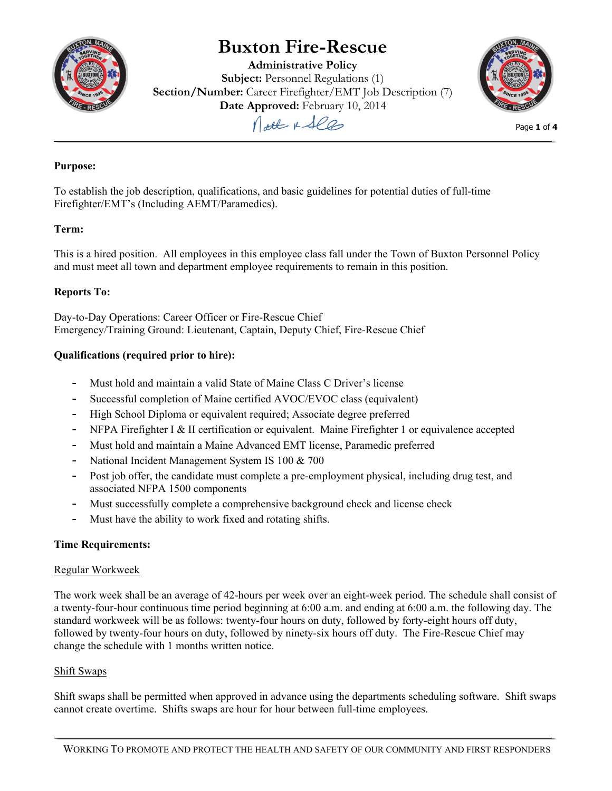

# **Buxton Fire-Rescue**

**Administrative Policy Subject:** Personnel Regulations (1) **Section/Number:** Career Firefighter/EMT Job Description (7) **Date Approved:** February 10, 2014



Page **1** of **4**

Matt & See

# **Purpose:**

To establish the job description, qualifications, and basic guidelines for potential duties of full-time Firefighter/EMT's (Including AEMT/Paramedics).

## **Term:**

This is a hired position. All employees in this employee class fall under the Town of Buxton Personnel Policy and must meet all town and department employee requirements to remain in this position.

## **Reports To:**

Day-to-Day Operations: Career Officer or Fire-Rescue Chief Emergency/Training Ground: Lieutenant, Captain, Deputy Chief, Fire-Rescue Chief

## **Qualifications (required prior to hire):**

- Must hold and maintain a valid State of Maine Class C Driver's license
- Successful completion of Maine certified AVOC/EVOC class (equivalent)
- High School Diploma or equivalent required; Associate degree preferred
- NFPA Firefighter I & II certification or equivalent. Maine Firefighter 1 or equivalence accepted
- Must hold and maintain a Maine Advanced EMT license, Paramedic preferred
- National Incident Management System IS 100 & 700
- Post job offer, the candidate must complete a pre-employment physical, including drug test, and associated NFPA 1500 components
- Must successfully complete a comprehensive background check and license check
- Must have the ability to work fixed and rotating shifts.

#### **Time Requirements:**

#### Regular Workweek

The work week shall be an average of 42-hours per week over an eight-week period. The schedule shall consist of a twenty-four-hour continuous time period beginning at 6:00 a.m. and ending at 6:00 a.m. the following day. The standard workweek will be as follows: twenty-four hours on duty, followed by forty-eight hours off duty, followed by twenty-four hours on duty, followed by ninety-six hours off duty. The Fire-Rescue Chief may change the schedule with 1 months written notice.

#### Shift Swaps

Shift swaps shall be permitted when approved in advance using the departments scheduling software. Shift swaps cannot create overtime. Shifts swaps are hour for hour between full-time employees.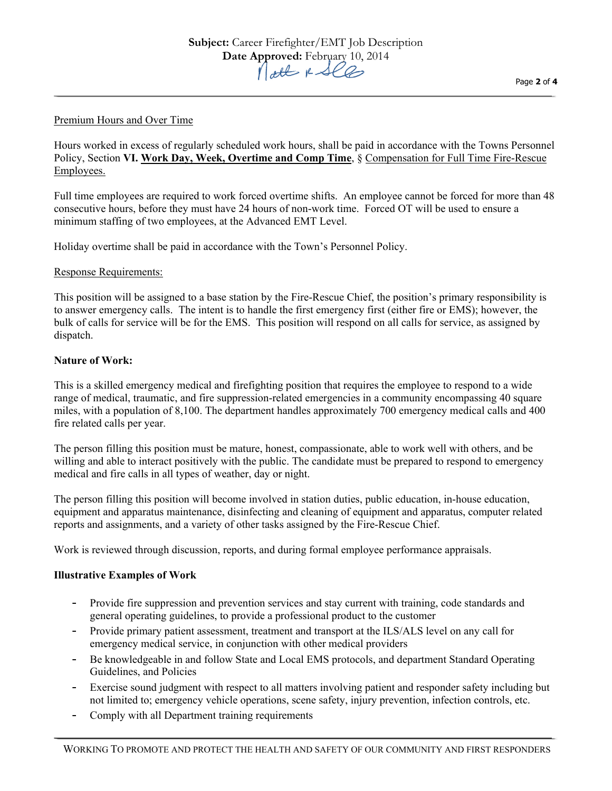#### Premium Hours and Over Time

Hours worked in excess of regularly scheduled work hours, shall be paid in accordance with the Towns Personnel Policy, Section **VI. Work Day, Week, Overtime and Comp Time**, § Compensation for Full Time Fire-Rescue Employees.

Full time employees are required to work forced overtime shifts. An employee cannot be forced for more than 48 consecutive hours, before they must have 24 hours of non-work time. Forced OT will be used to ensure a minimum staffing of two employees, at the Advanced EMT Level.

Holiday overtime shall be paid in accordance with the Town's Personnel Policy.

#### Response Requirements:

This position will be assigned to a base station by the Fire-Rescue Chief, the position's primary responsibility is to answer emergency calls. The intent is to handle the first emergency first (either fire or EMS); however, the bulk of calls for service will be for the EMS. This position will respond on all calls for service, as assigned by dispatch.

#### **Nature of Work:**

This is a skilled emergency medical and firefighting position that requires the employee to respond to a wide range of medical, traumatic, and fire suppression-related emergencies in a community encompassing 40 square miles, with a population of 8,100. The department handles approximately 700 emergency medical calls and 400 fire related calls per year.

The person filling this position must be mature, honest, compassionate, able to work well with others, and be willing and able to interact positively with the public. The candidate must be prepared to respond to emergency medical and fire calls in all types of weather, day or night.

The person filling this position will become involved in station duties, public education, in-house education, equipment and apparatus maintenance, disinfecting and cleaning of equipment and apparatus, computer related reports and assignments, and a variety of other tasks assigned by the Fire-Rescue Chief.

Work is reviewed through discussion, reports, and during formal employee performance appraisals.

#### **Illustrative Examples of Work**

- Provide fire suppression and prevention services and stay current with training, code standards and general operating guidelines, to provide a professional product to the customer
- Provide primary patient assessment, treatment and transport at the ILS/ALS level on any call for emergency medical service, in conjunction with other medical providers
- Be knowledgeable in and follow State and Local EMS protocols, and department Standard Operating Guidelines, and Policies
- Exercise sound judgment with respect to all matters involving patient and responder safety including but not limited to; emergency vehicle operations, scene safety, injury prevention, infection controls, etc.
- Comply with all Department training requirements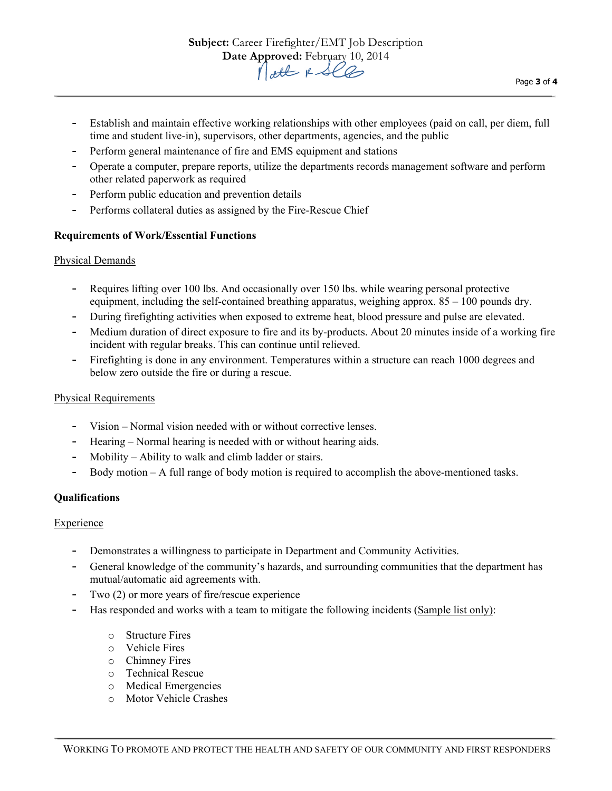- Establish and maintain effective working relationships with other employees (paid on call, per diem, full time and student live-in), supervisors, other departments, agencies, and the public
- Perform general maintenance of fire and EMS equipment and stations
- Operate a computer, prepare reports, utilize the departments records management software and perform other related paperwork as required
- Perform public education and prevention details
- Performs collateral duties as assigned by the Fire-Rescue Chief

#### **Requirements of Work/Essential Functions**

#### Physical Demands

- Requires lifting over 100 lbs. And occasionally over 150 lbs. while wearing personal protective equipment, including the self-contained breathing apparatus, weighing approx.  $85 - 100$  pounds dry.
- During firefighting activities when exposed to extreme heat, blood pressure and pulse are elevated.
- Medium duration of direct exposure to fire and its by-products. About 20 minutes inside of a working fire incident with regular breaks. This can continue until relieved.
- Firefighting is done in any environment. Temperatures within a structure can reach 1000 degrees and below zero outside the fire or during a rescue.

#### Physical Requirements

- Vision Normal vision needed with or without corrective lenses.
- Hearing Normal hearing is needed with or without hearing aids.
- $M$ obility Ability to walk and climb ladder or stairs.
- Body motion A full range of body motion is required to accomplish the above-mentioned tasks.

#### **Qualifications**

#### **Experience**

- Demonstrates a willingness to participate in Department and Community Activities.
- General knowledge of the community's hazards, and surrounding communities that the department has mutual/automatic aid agreements with.
- Two  $(2)$  or more years of fire/rescue experience
- Has responded and works with a team to mitigate the following incidents (Sample list only):
	- o Structure Fires
	- o Vehicle Fires
	- o Chimney Fires
	- o Technical Rescue
	- o Medical Emergencies
	- o Motor Vehicle Crashes